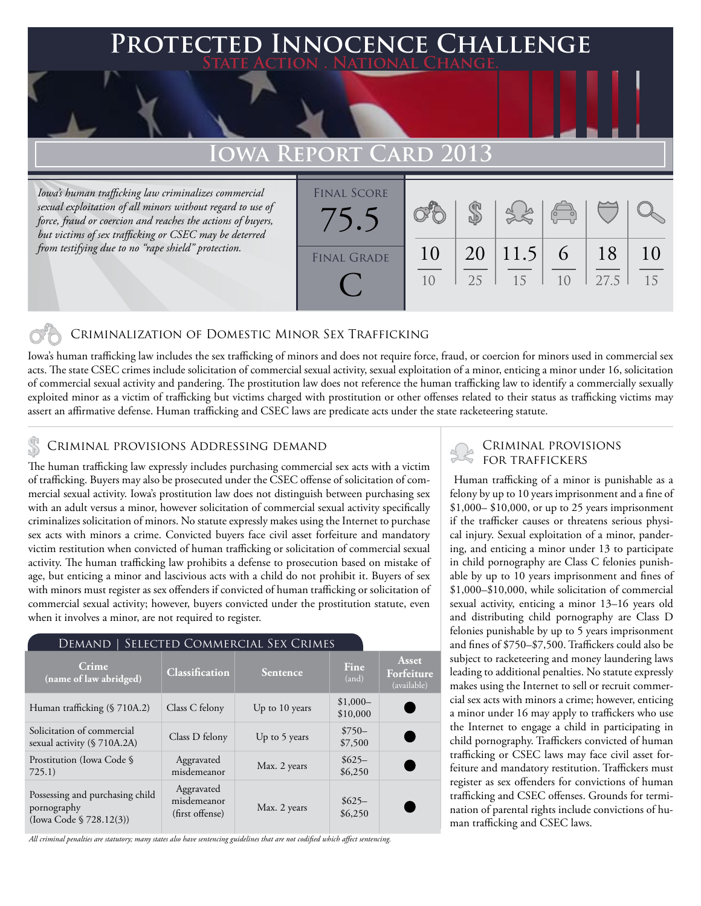## **Protected Innocence Challenge State Action . National Change.**

# **Iowa Report Card 2013**

*Iowa's human trafficking law criminalizes commercial sexual exploitation of all minors without regard to use of force, fraud or coercion and reaches the actions of buyers, but victims of sex trafficking or CSEC may be deterred from testifying due to no "rape shield" protection.*



## Criminalization of Domestic Minor Sex Trafficking

Iowa's human trafficking law includes the sex trafficking of minors and does not require force, fraud, or coercion for minors used in commercial sex acts. The state CSEC crimes include solicitation of commercial sexual activity, sexual exploitation of a minor, enticing a minor under 16, solicitation of commercial sexual activity and pandering. The prostitution law does not reference the human trafficking law to identify a commercially sexually exploited minor as a victim of trafficking but victims charged with prostitution or other offenses related to their status as trafficking victims may assert an affirmative defense. Human trafficking and CSEC laws are predicate acts under the state racketeering statute.

The human trafficking law expressly includes purchasing commercial sex acts with a victim of trafficking. Buyers may also be prosecuted under the CSEC offense of solicitation of commercial sexual activity. Iowa's prostitution law does not distinguish between purchasing sex with an adult versus a minor, however solicitation of commercial sexual activity specifically criminalizes solicitation of minors. No statute expressly makes using the Internet to purchase sex acts with minors a crime. Convicted buyers face civil asset forfeiture and mandatory victim restitution when convicted of human trafficking or solicitation of commercial sexual activity. The human trafficking law prohibits a defense to prosecution based on mistake of age, but enticing a minor and lascivious acts with a child do not prohibit it. Buyers of sex with minors must register as sex offenders if convicted of human trafficking or solicitation of commercial sexual activity; however, buyers convicted under the prostitution statute, even when it involves a minor, are not required to register.

#### Demand | Selected Commercial Sex Crimes **Crime (name of law abridged) Classification Sentence Fine** (and) **Asset Forfeiture**  (available) Human trafficking  $(\frac{$}{2}710A.2)$  Class C felony Up to 10 years  $\frac{$1,000-}{0.000}$ \$10,000 Solicitation of commercial Solicitation of commercial<br>sexual activity (§ 710A.2A) Class D felony Up to 5 years \$7500 \$7,500 Prostitution (Iowa Code § 725.1) Aggravated Aggravated<br>misdemeanor Max. 2 years \$625–<br>\$6,250 \$6,250 Possessing and purchasing child pornography (Iowa Code § 728.12(3)) Aggravated misdemeanor misdemeanor<br>
(first offense) Max. 2 years \$6250 \$6,250

*All criminal penalties are statutory; many states also have sentencing guidelines that are not codified which affect sentencing.* 

# CRIMINAL PROVISIONS ADDRESSING DEMAND<br>The human trafficking law arrestly includes purchasing commercial sex acts with a victime STOR TRAFFICKERS

 Human trafficking of a minor is punishable as a felony by up to 10 years imprisonment and a fine of \$1,000– \$10,000, or up to 25 years imprisonment if the trafficker causes or threatens serious physical injury. Sexual exploitation of a minor, pandering, and enticing a minor under 13 to participate in child pornography are Class C felonies punishable by up to 10 years imprisonment and fines of \$1,000–\$10,000, while solicitation of commercial sexual activity, enticing a minor 13–16 years old and distributing child pornography are Class D felonies punishable by up to 5 years imprisonment and fines of \$750–\$7,500. Traffickers could also be subject to racketeering and money laundering laws leading to additional penalties. No statute expressly makes using the Internet to sell or recruit commercial sex acts with minors a crime; however, enticing a minor under 16 may apply to traffickers who use the Internet to engage a child in participating in child pornography. Traffickers convicted of human trafficking or CSEC laws may face civil asset forfeiture and mandatory restitution. Traffickers must register as sex offenders for convictions of human trafficking and CSEC offenses. Grounds for termination of parental rights include convictions of human trafficking and CSEC laws.